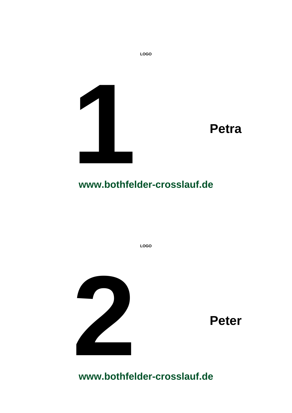

**LOGO**

**LOGO**

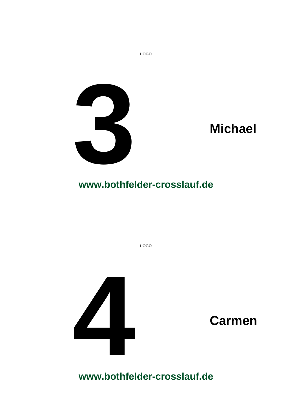

**LOGO**



**www.bothfelder-crosslauf.de**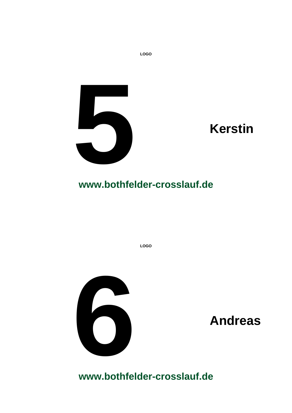

**LOGO**



**www.bothfelder-crosslauf.de**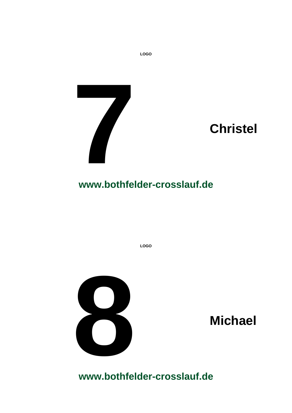

**LOGO**



**www.bothfelder-crosslauf.de**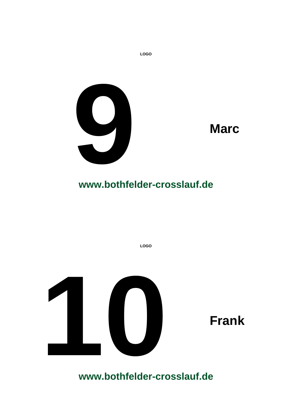

**LOGO**



**www.bothfelder-crosslauf.de**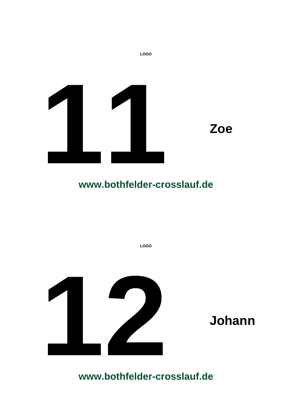

**LOGO**

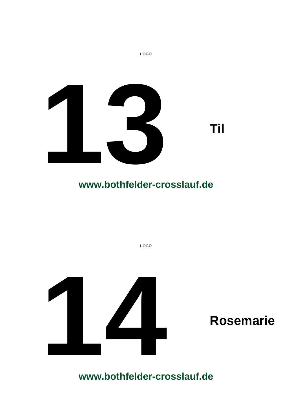

**LOGO**

# **www.bothfelder-crosslauf.de**

**LOGO**

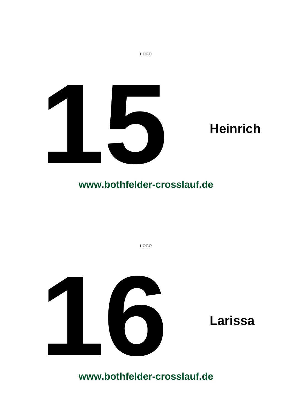

**LOGO**

**LOGO**

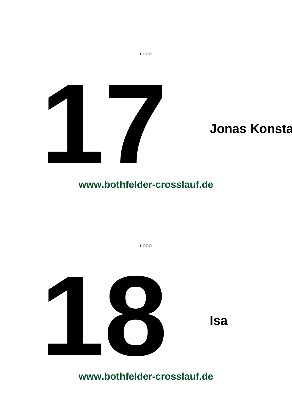

**LOGO**

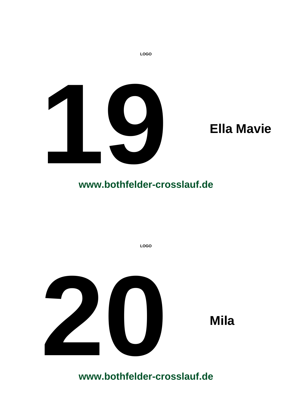

**LOGO**



**www.bothfelder-crosslauf.de**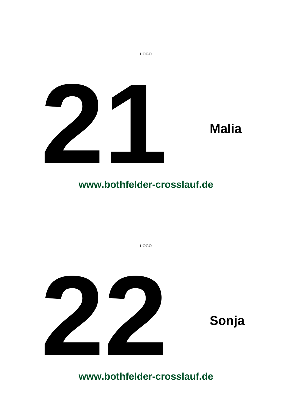

**LOGO**

**LOGO**

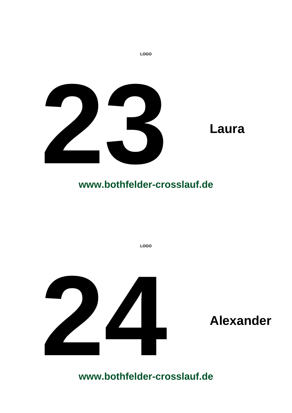

**LOGO**

**LOGO**

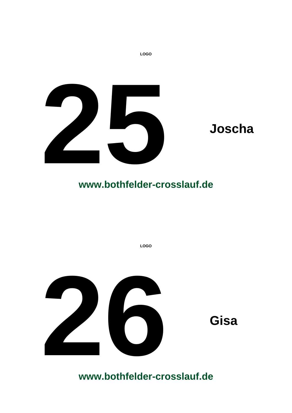

**LOGO**

**LOGO**

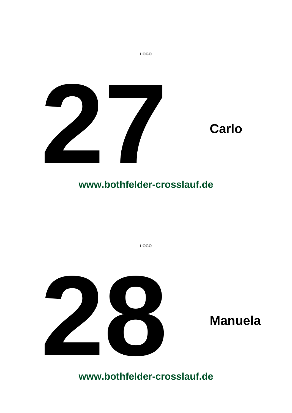

**LOGO**

**LOGO**

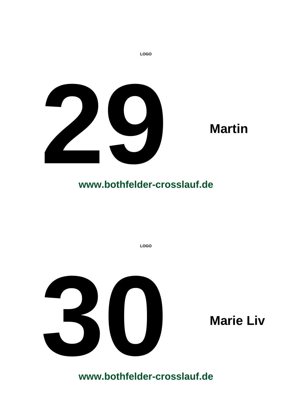

**LOGO**

**LOGO**

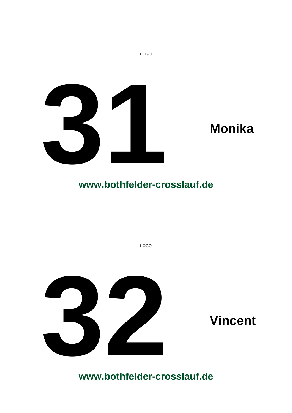

**LOGO**



**www.bothfelder-crosslauf.de**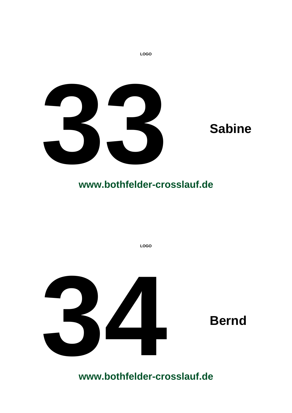

**LOGO**

**LOGO**

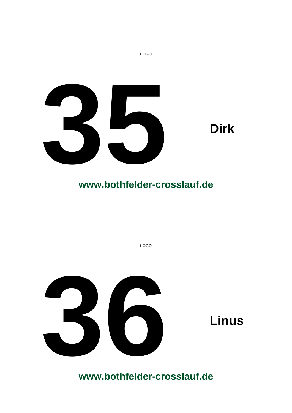



**LOGO**

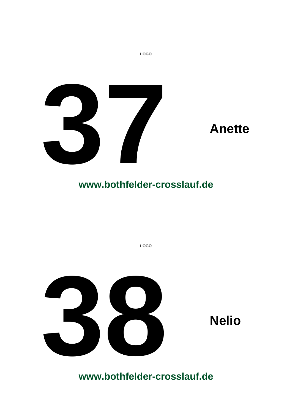

**LOGO**

**LOGO**

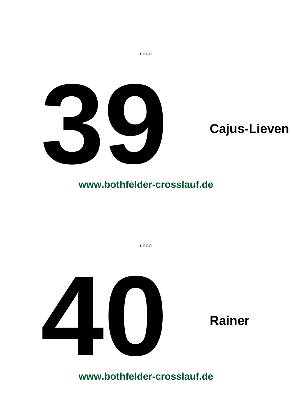

**LOGO**

**LOGO**

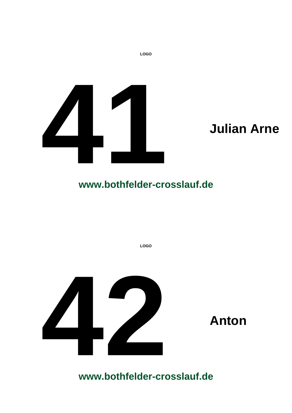

**LOGO**



**www.bothfelder-crosslauf.de**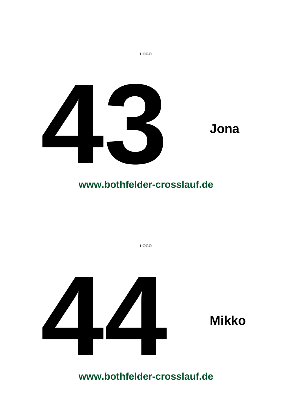

**LOGO**

**LOGO**

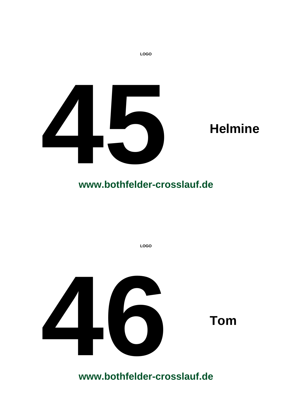

**LOGO**

**LOGO**

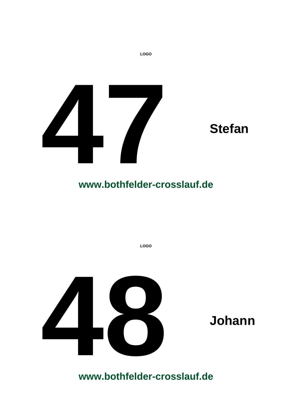

**LOGO**

**LOGO**

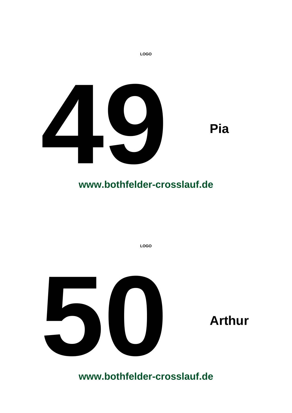

**LOGO**

**LOGO**

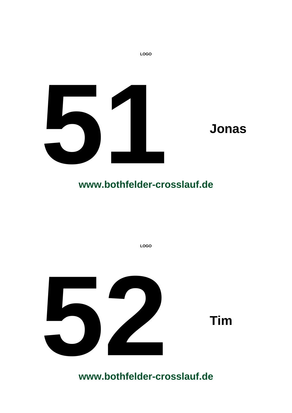

**LOGO**

**LOGO**

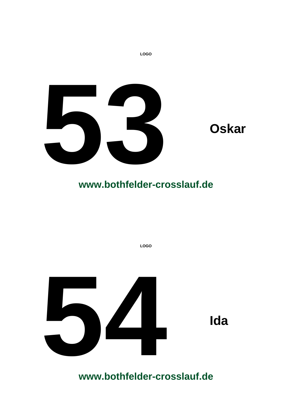

**LOGO**

**LOGO**

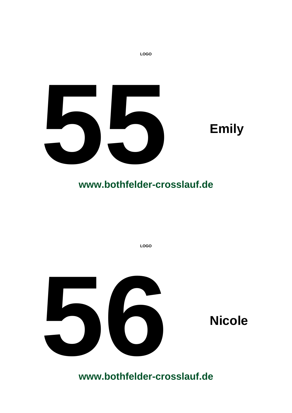



**LOGO**

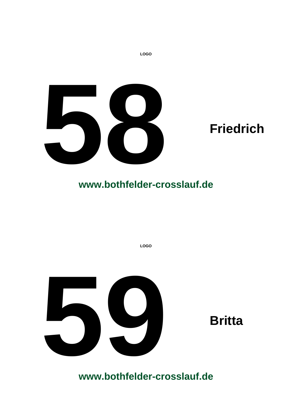



**LOGO**

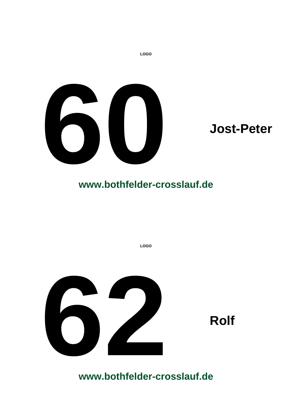

**LOGO**

**LOGO**

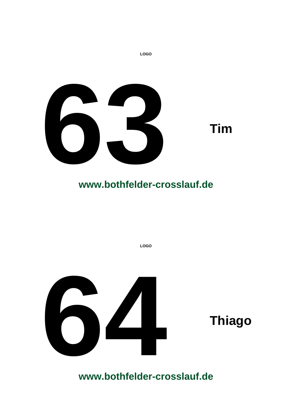

**LOGO**

**LOGO**

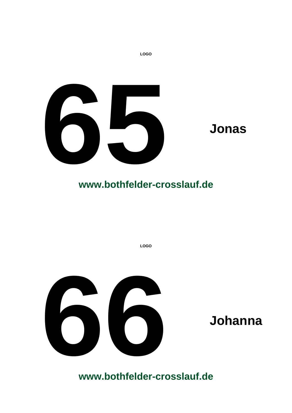

**LOGO**

**LOGO**

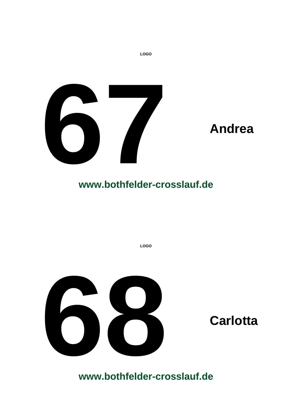

**LOGO**

**LOGO**

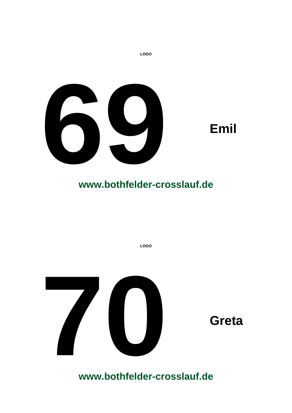

**LOGO**

**LOGO**

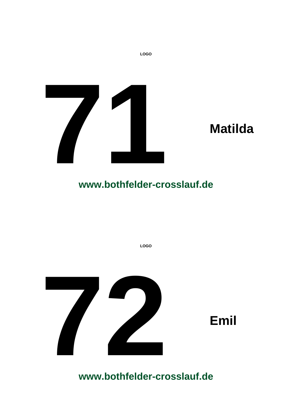

**LOGO**



# **www.bothfelder-crosslauf.de**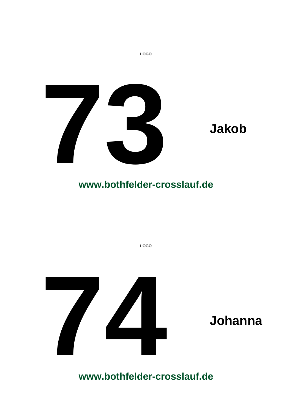

**LOGO**

**LOGO**

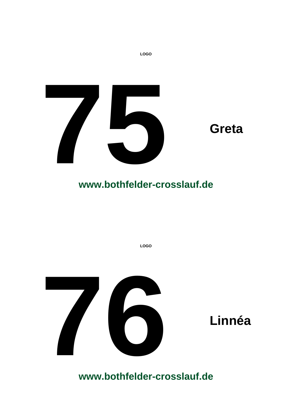

**LOGO**

**LOGO**

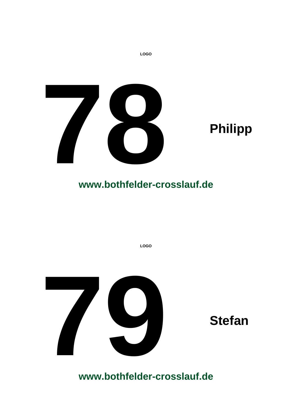

**LOGO**

**LOGO**

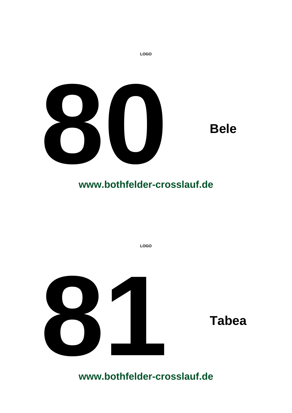

**LOGO**

**LOGO**

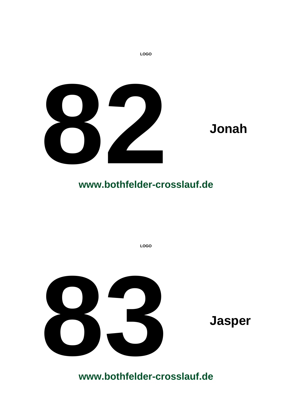

**LOGO**

**LOGO**

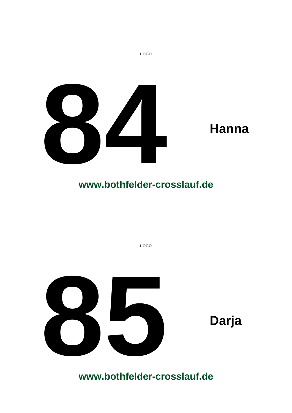

**LOGO**

**LOGO**

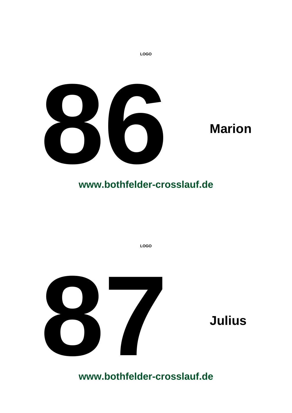

**LOGO**

**LOGO**

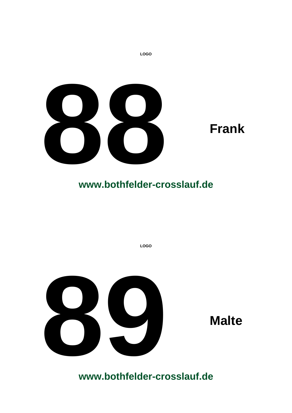



**LOGO**

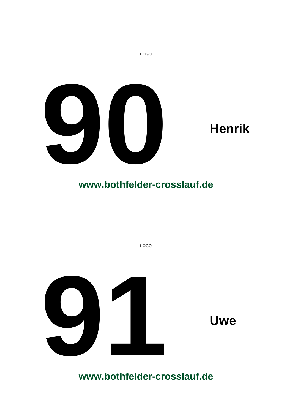

**LOGO**

**LOGO**

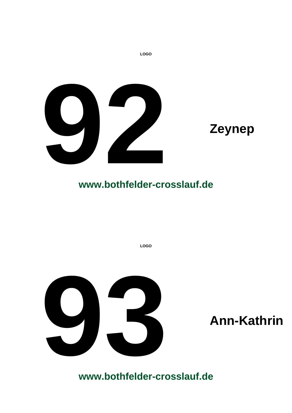

**LOGO**

**LOGO**

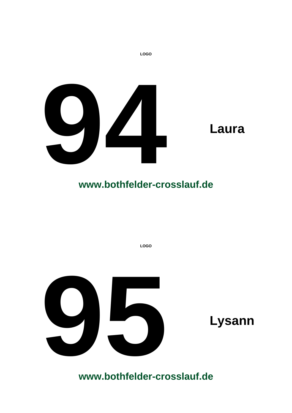

**LOGO**

**LOGO**

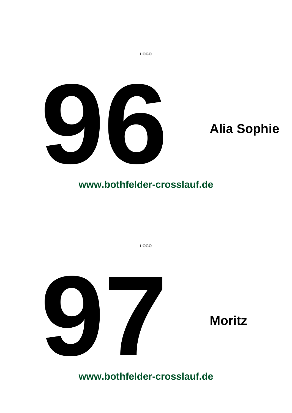

**LOGO**

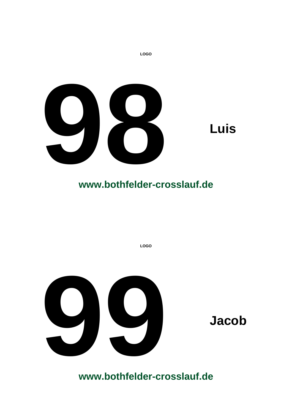

**LOGO**

**LOGO**

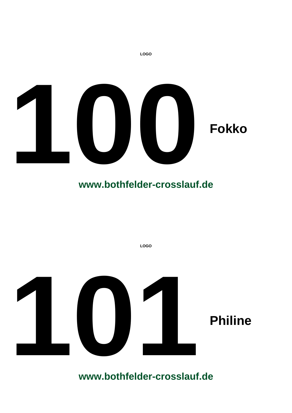

**LOGO**

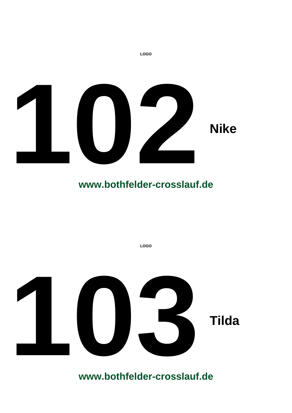

**LOGO**

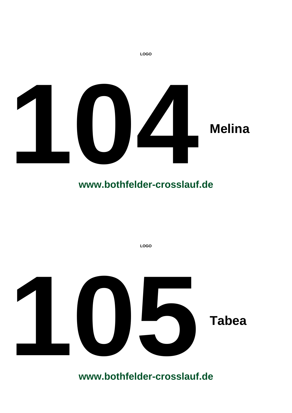

**LOGO 105 Tabea**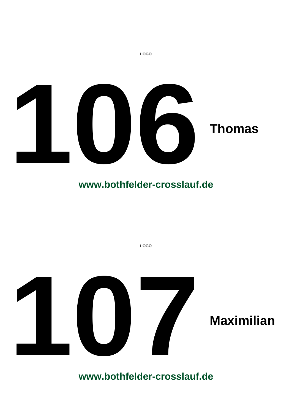

**LOGO**

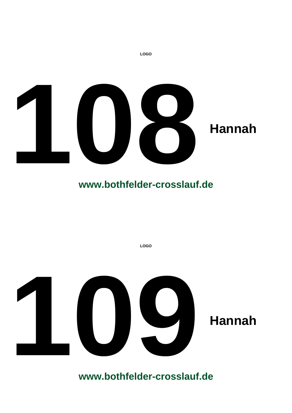

**LOGO**

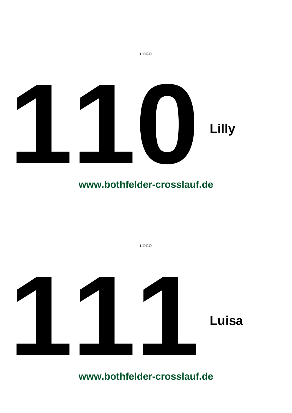

**LOGO**

**LOGO** Luisa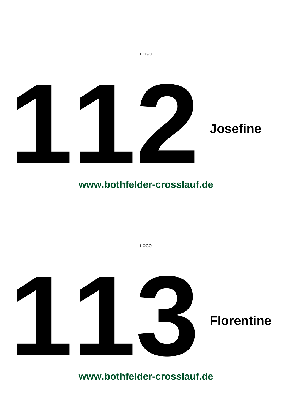

**LOGO** Florentine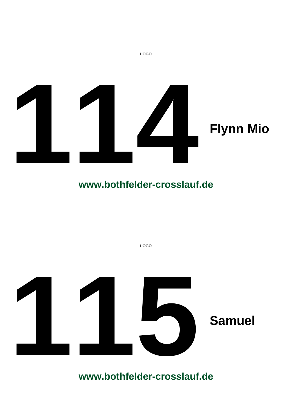

**LOGO** Samuel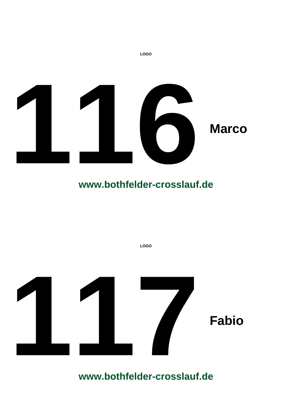

**LOGO**

# **www.bothfelder-crosslauf.de**

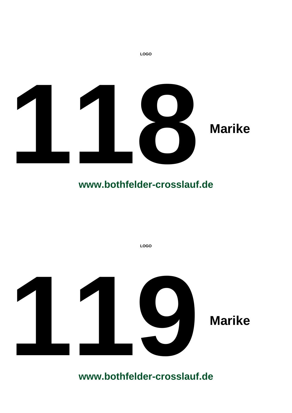

**LOGO**

# **www.bothfelder-crosslauf.de**

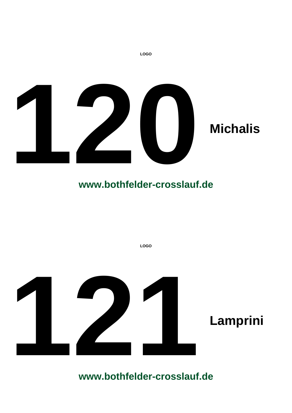

**LOGO**

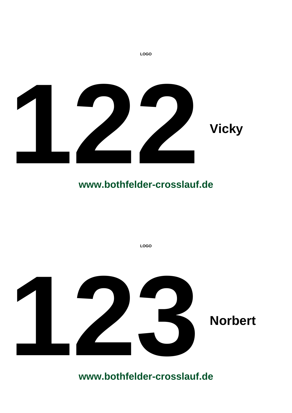

**LOGO**

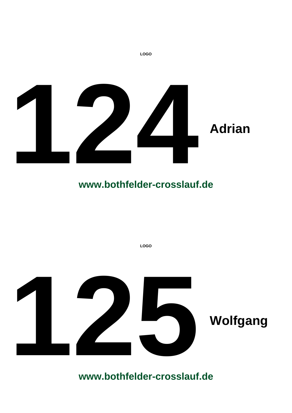

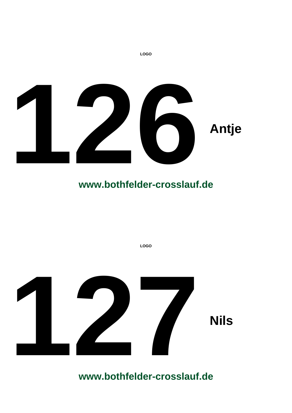

**LOGO 127 Nils**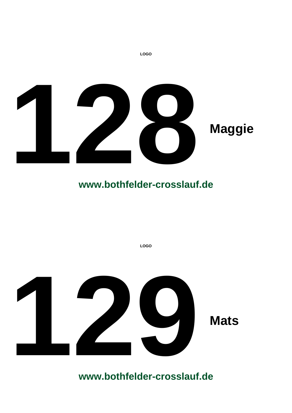

**LOGO 129 Mats**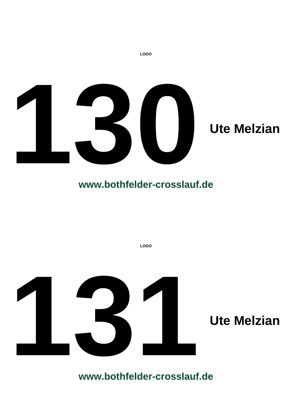

**LOGO**

# **www.bothfelder-crosslauf.de**

**LOGO**

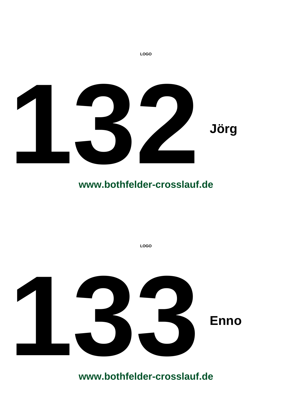

**LOGO**

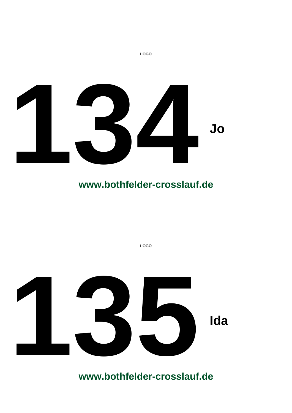

**LOGO**

**LOGO 135Ida**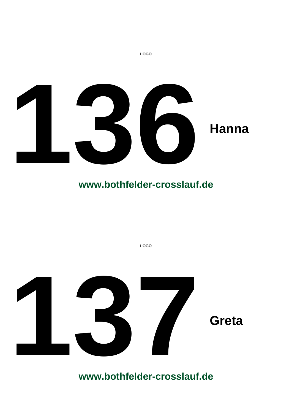

**LOGO 137** Greta

**www.bothfelder-crosslauf.de**

**LOGO**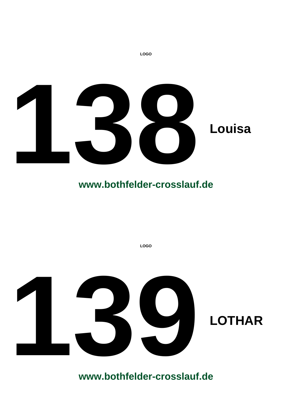

**LOGO**

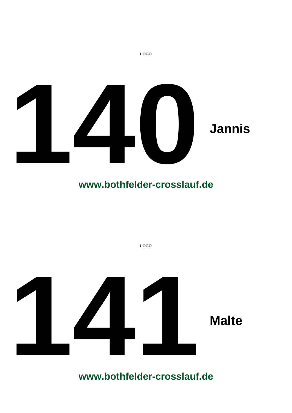

**LOGO**

# **www.bothfelder-crosslauf.de**

**LOGO 141 Malte**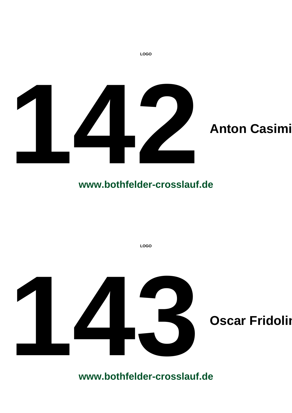

**LOGO**

### **www.bothfelder-crosslauf.de**

**LOGO**

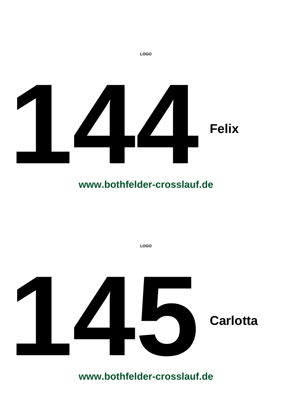

**LOGO**

**LOGO**

**1456 Carlotta**<br> **1456 Carlotta**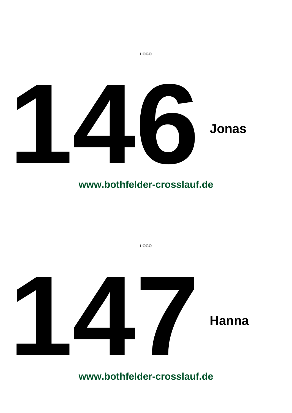

**LOGO**

# **www.bothfelder-crosslauf.de**

**LOGO**

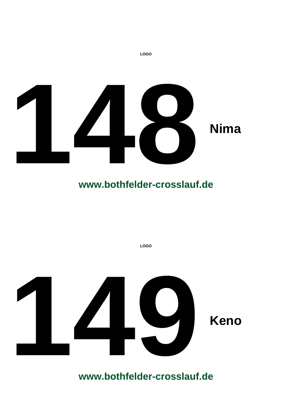

**LOGO**

**LOGO 149 Keno**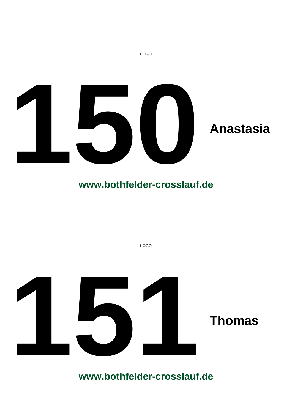

**LOGO**

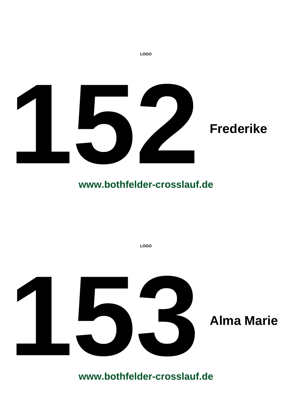

**LOGO** Alma Marie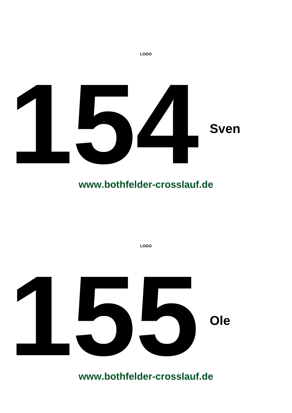

**LOGO**

**LOGO 155 Ole**<br> **155 Ole**<br> **155 Ole**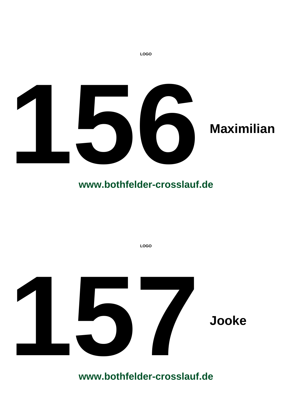

## **www.bothfelder-crosslauf.de**

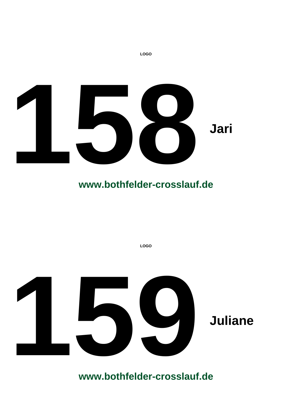

**LOGO**

**LOGO**

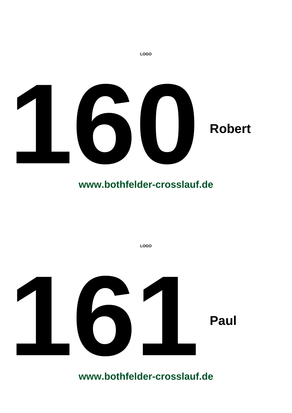

## **www.bothfelder-crosslauf.de**

**LOGO**

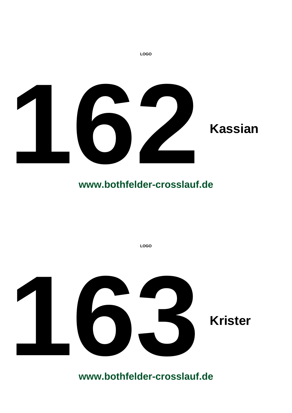

## **www.bothfelder-crosslauf.de**

**LOGO**

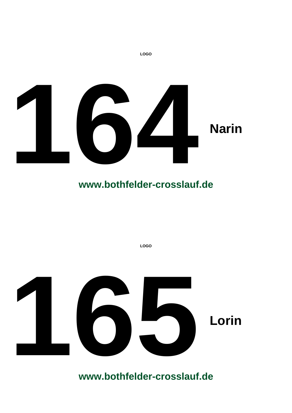

**LOGO**

**LOGO 165 Lorin**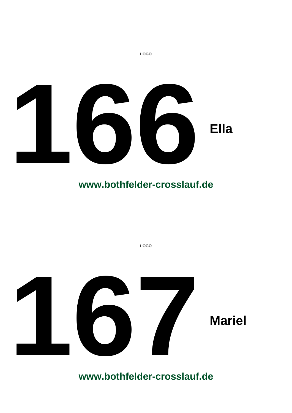

**LOGO**

**LOGO**

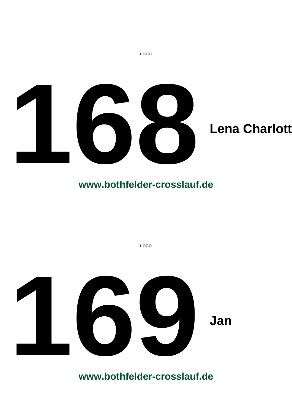

#### **www.bothfelder-crosslauf.de**

**LOGO**

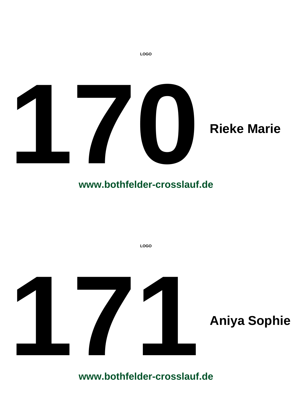

**LOGO**

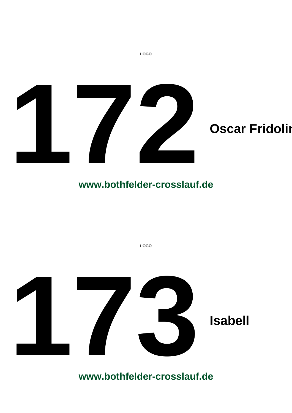

**LOGO 173**<br>Isabell<br>WWW.bothfelder-crosslauf.de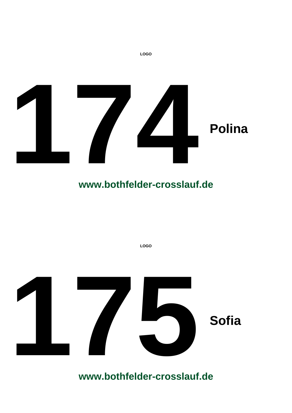

**LOGO**

**175 175 175 Sofia**<br> **175 175 175 175 175 175 175 175 175 175 175 175 175 175 175 175 175 175 175 175 175 175 175 175 175 175 175 175 175 175 175 175 17**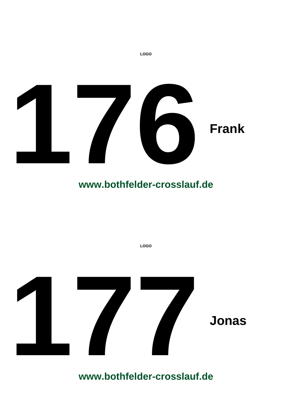

**LOGO**

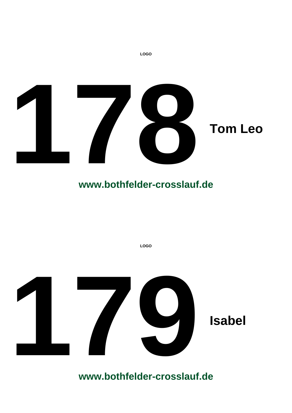

**LOGO**

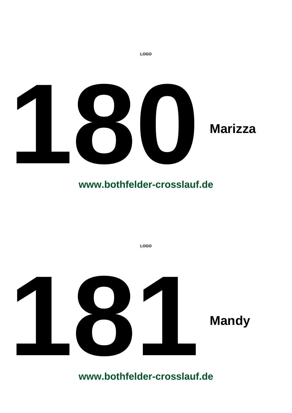

## **www.bothfelder-crosslauf.de**

**LOGO**

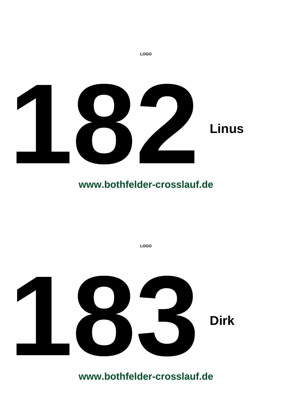

**LOGO**

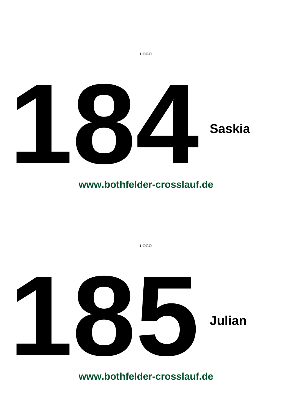

**LOGO 185Julian**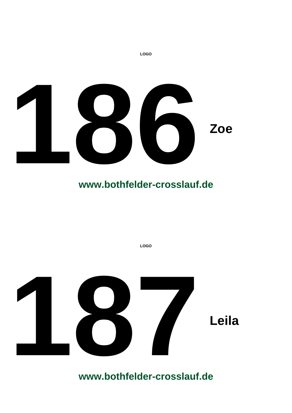

**LOGO**

**LOGO**

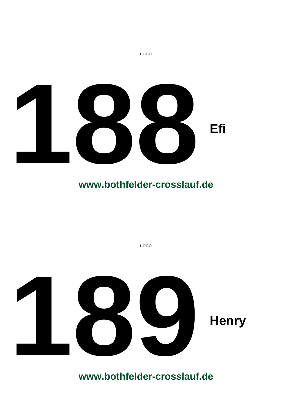

**LOGO**

**LOGO**

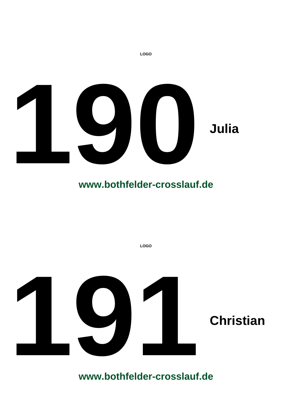

**LOGO**

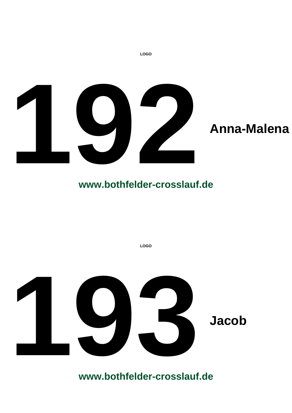

**LOGO**

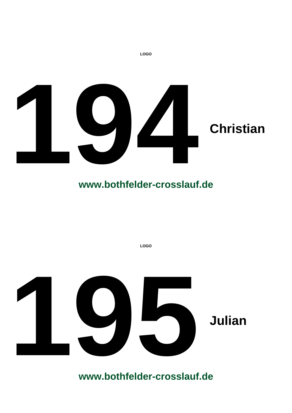

**LOGO 195Julian**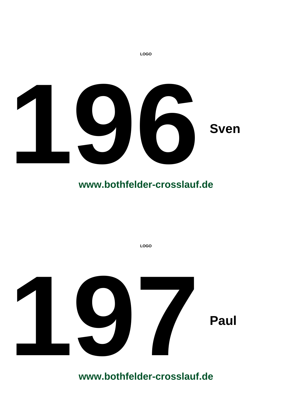

**LOGO**

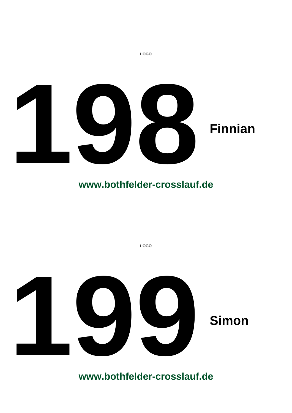

**LOGO**

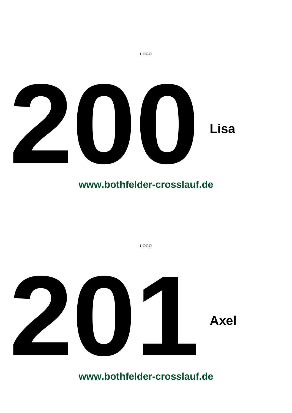

**LOGO**

**LOGO**

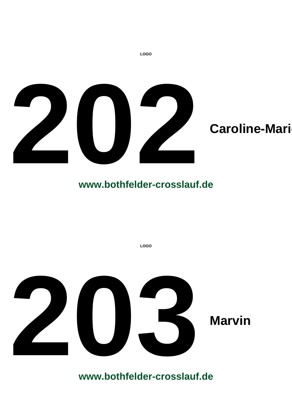

**LOGO**

**LOGO 203 Marvin**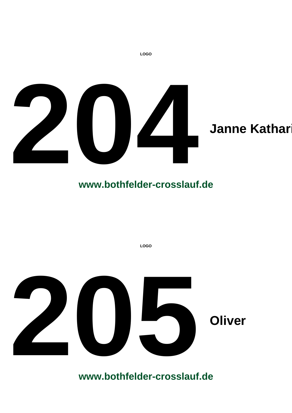

# **www.bothfelder-crosslauf.de**

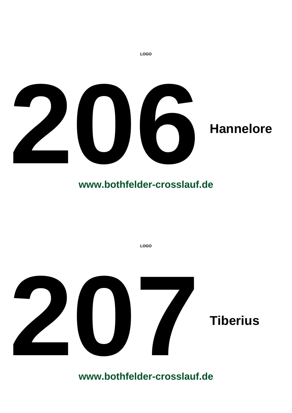

## **www.bothfelder-crosslauf.de**

**LOGO**

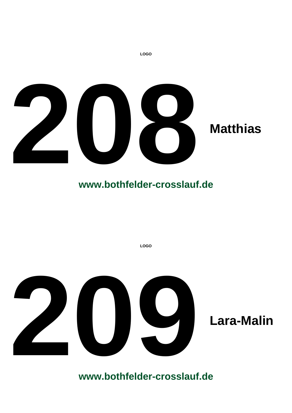

**LOGO**

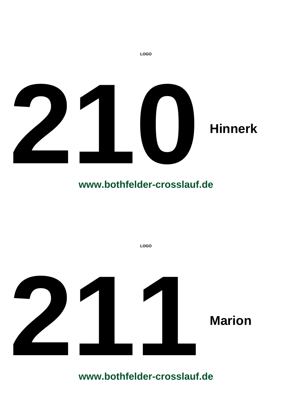

## **www.bothfelder-crosslauf.de**

**LOGO 211 Marion**<br> **211 Marion**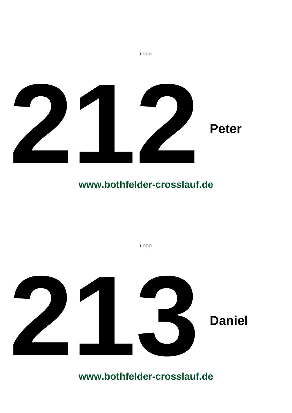

**LOGO**

**LOGO 2 Daniel Daniel**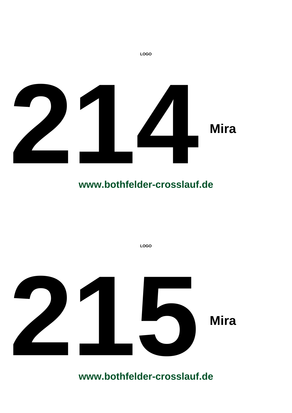

**LOGO**

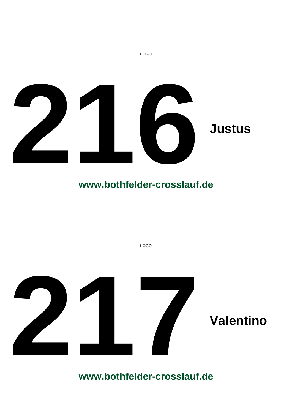

## **www.bothfelder-crosslauf.de**

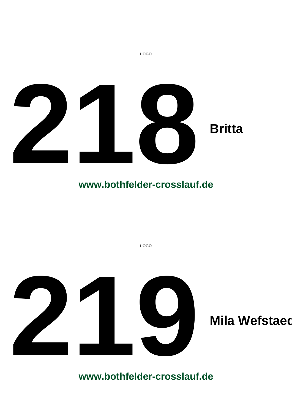

**LOGO**

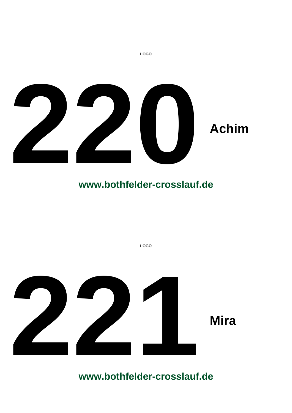

**LOGO**

**LOGO**

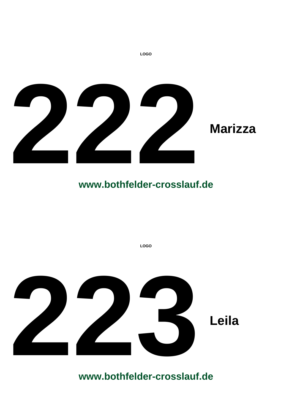

**LOGO**

# **www.bothfelder-crosslauf.de**

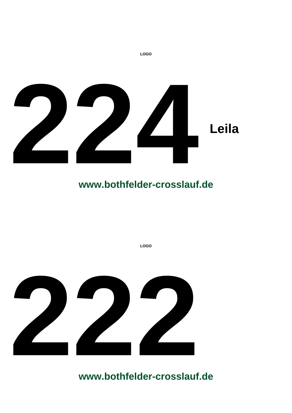

**LOGO**

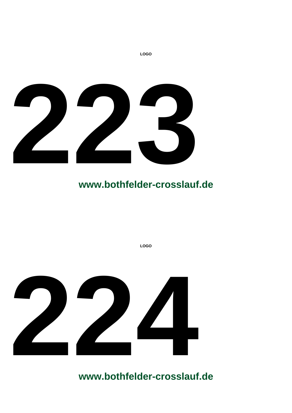

**LOGO**



**www.bothfelder-crosslauf.de**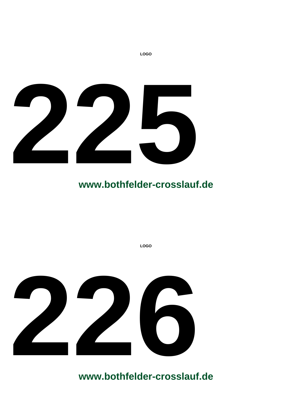

**LOGO**

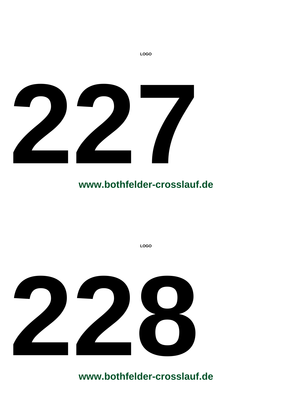

**LOGO**



**www.bothfelder-crosslauf.de**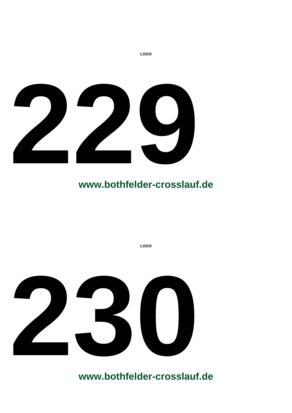

**LOGO**

**LOGO**

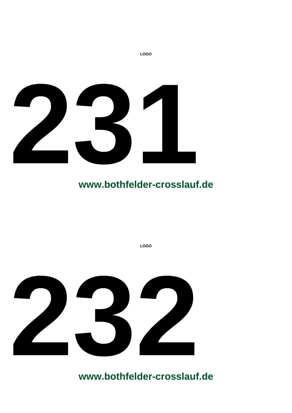

**LOGO**



**www.bothfelder-crosslauf.de**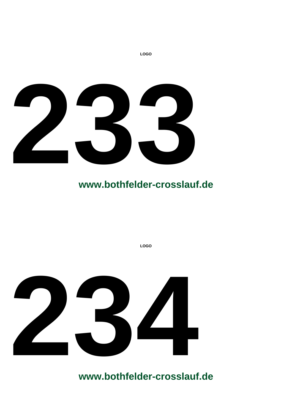

**LOGO**



**www.bothfelder-crosslauf.de**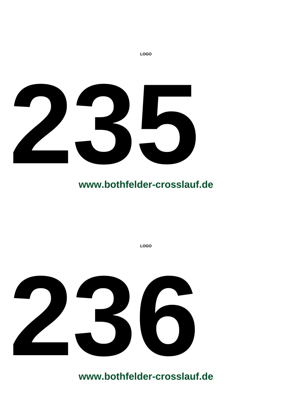

**LOGO**

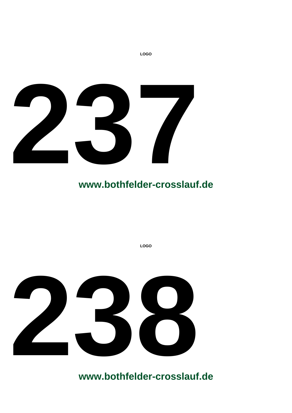

**LOGO**

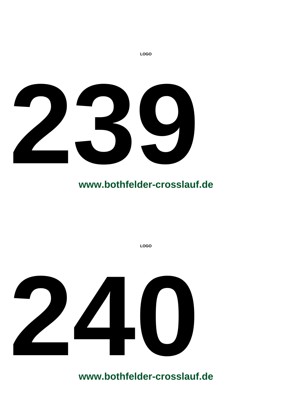

**LOGO**



**www.bothfelder-crosslauf.de**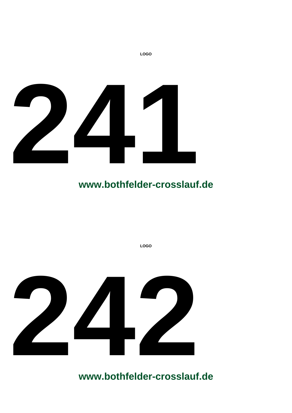

**LOGO 242**

**www.bothfelder-crosslauf.de**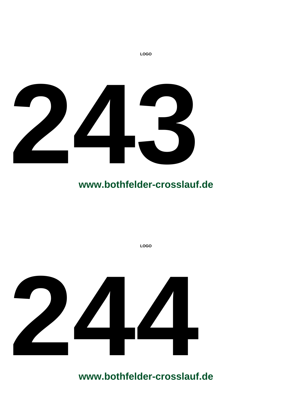

**LOGO**



**www.bothfelder-crosslauf.de**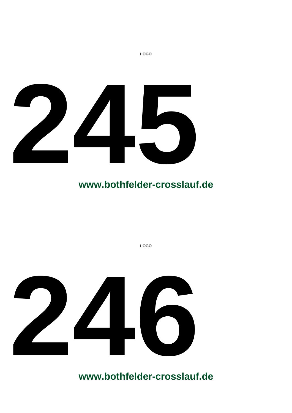

**LOGO**



**www.bothfelder-crosslauf.de**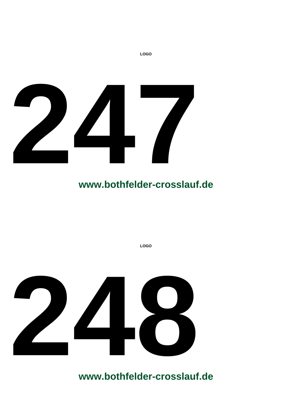

**LOGO**

**LOGO**

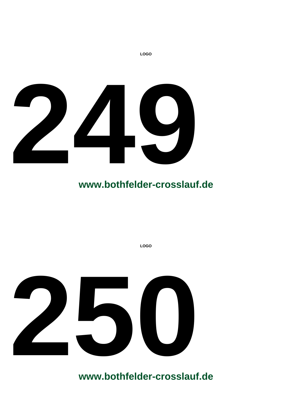

**LOGO**

**LOGO**

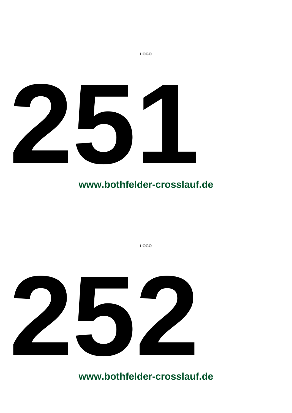

**LOGO**

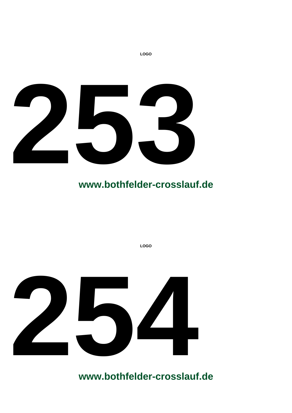

**LOGO**



**www.bothfelder-crosslauf.de**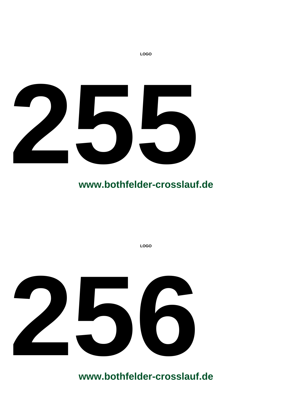

**LOGO**



**www.bothfelder-crosslauf.de**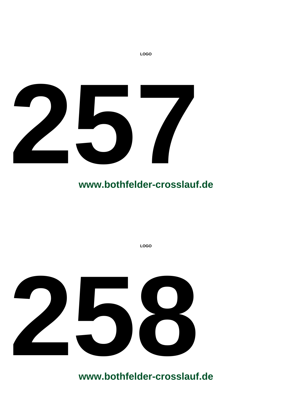

**LOGO**



**www.bothfelder-crosslauf.de**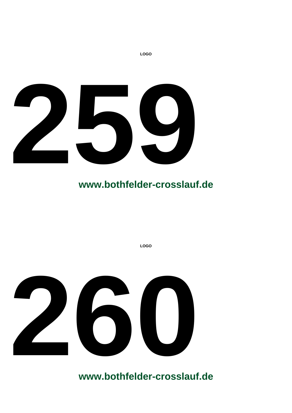

**LOGO**



**www.bothfelder-crosslauf.de**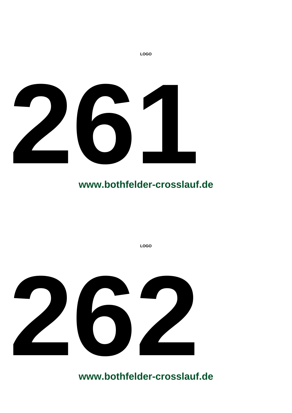

**LOGO**

**LOGO**

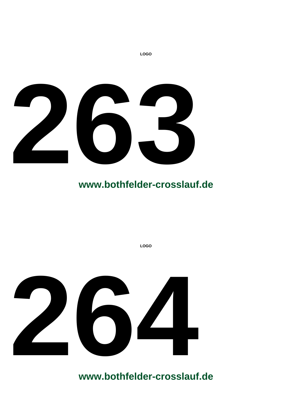

**LOGO**



**www.bothfelder-crosslauf.de**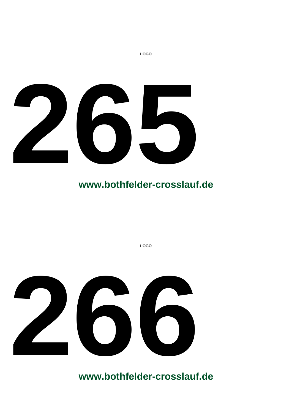

**LOGO**



**www.bothfelder-crosslauf.de**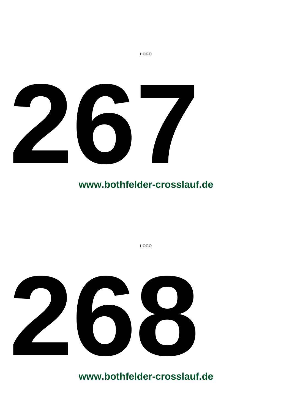

**LOGO**



**www.bothfelder-crosslauf.de**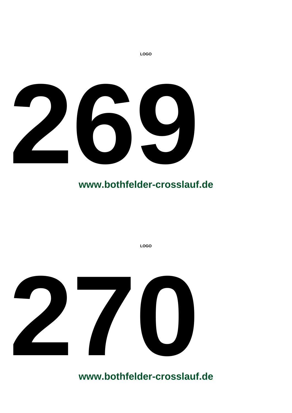

**LOGO**

**LOGO**

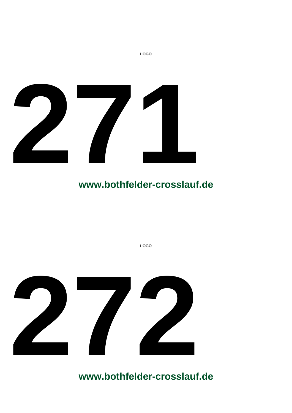

**LOGO**



**www.bothfelder-crosslauf.de**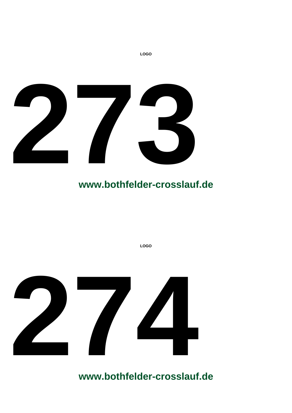

**LOGO**



**www.bothfelder-crosslauf.de**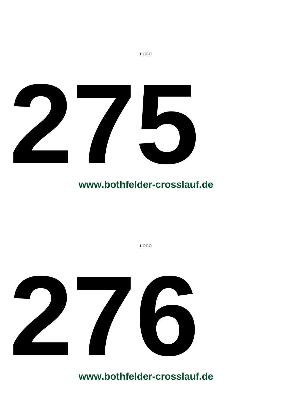

**LOGO**

**LOGO**

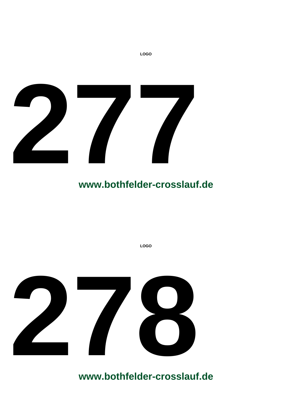

**LOGO**

**LOGO**

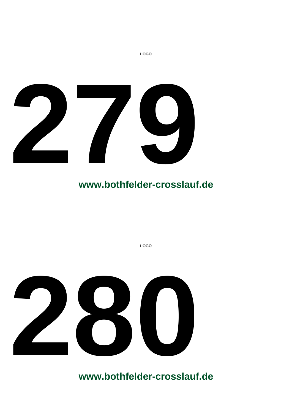

**LOGO**

**LOGO**

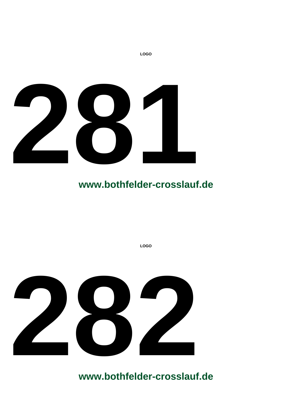

**LOGO**

**LOGO**

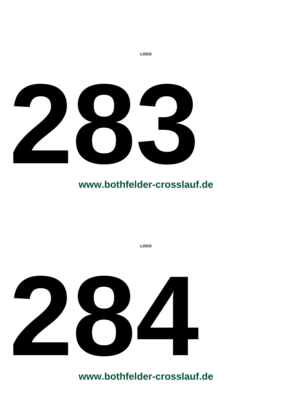

**LOGO**



**www.bothfelder-crosslauf.de**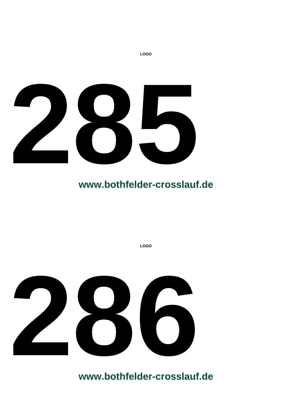

**LOGO**



**www.bothfelder-crosslauf.de**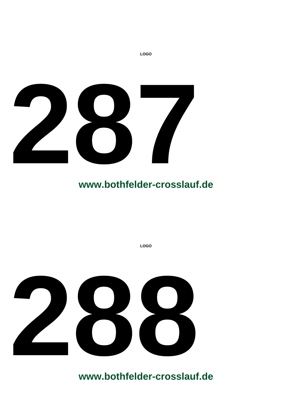

**LOGO**

**LOGO**

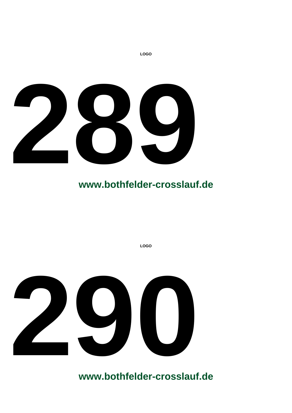

**LOGO**



**www.bothfelder-crosslauf.de**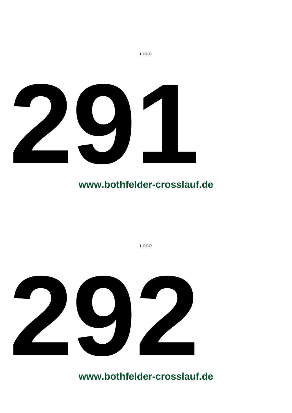

**LOGO**

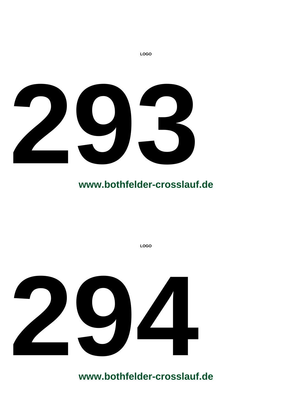

**LOGO**



**www.bothfelder-crosslauf.de**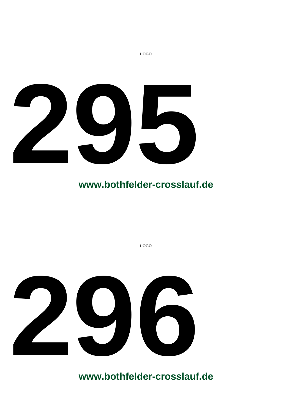

**LOGO**



**www.bothfelder-crosslauf.de**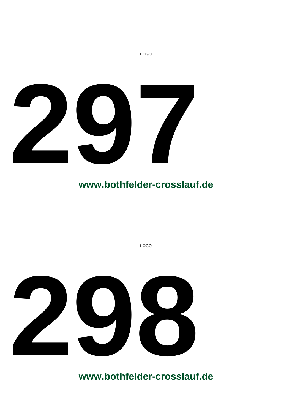

**LOGO**



**www.bothfelder-crosslauf.de**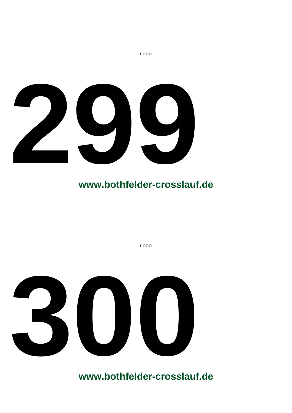

**LOGO**



**www.bothfelder-crosslauf.de**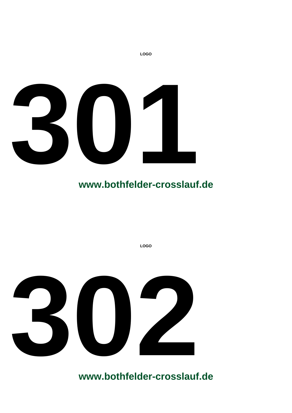

**LOGO**

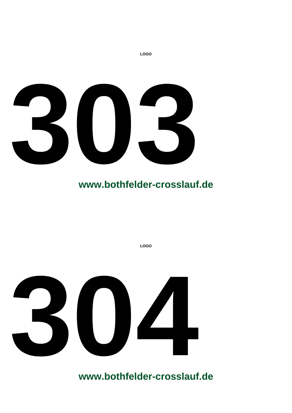

**LOGO**



**www.bothfelder-crosslauf.de**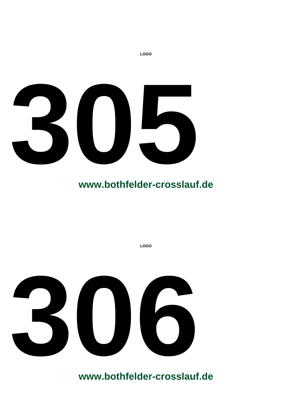

**LOGO**



**www.bothfelder-crosslauf.de**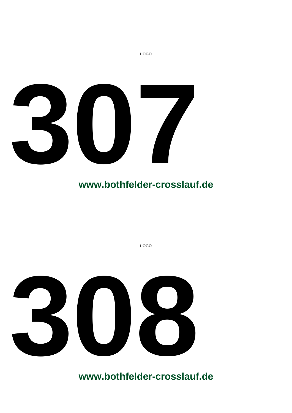

**LOGO**



**www.bothfelder-crosslauf.de**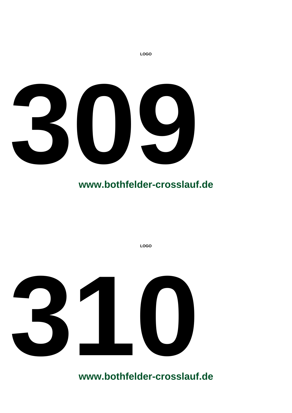

**LOGO**

**LOGO**

**310**<br>**310**<br>**3100 320**<br>**3200 3200**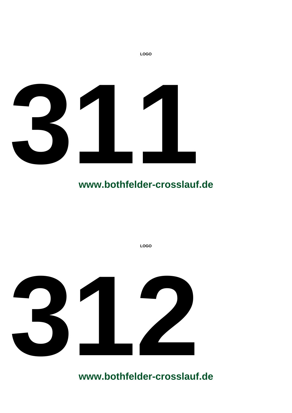

**LOGO**

**LOGO**

**4**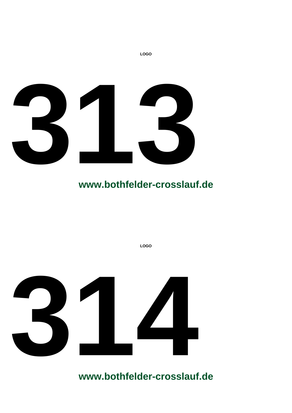

**LOGO**



**www.bothfelder-crosslauf.de**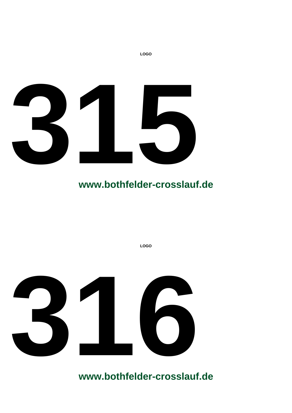

**LOGO**

**LOGO**

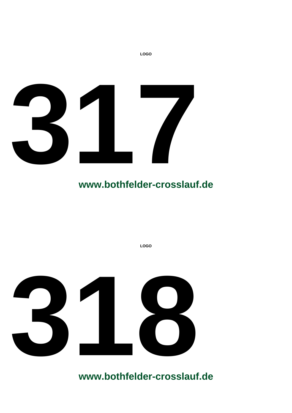

**LOGO**

**LOGO**

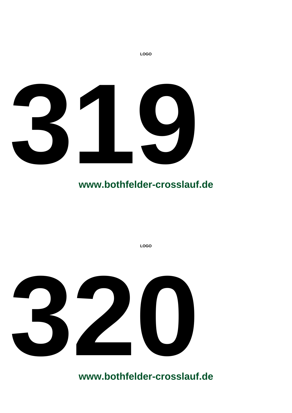

**LOGO**



**www.bothfelder-crosslauf.de**